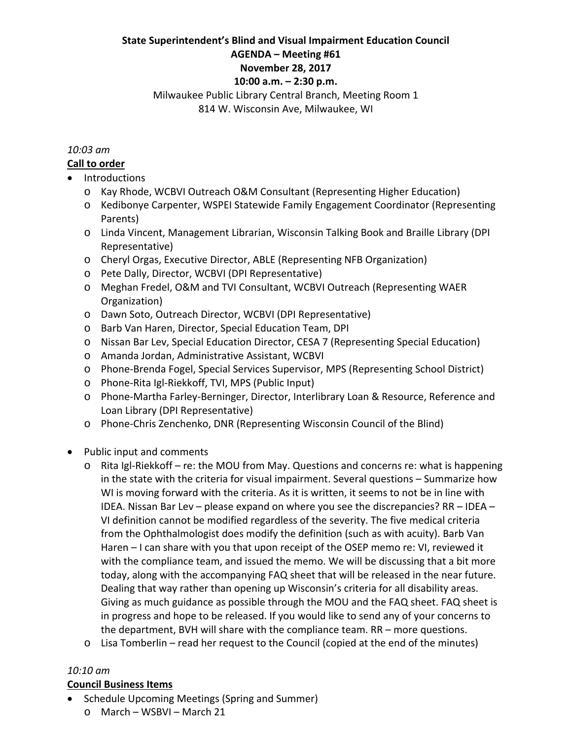#### **State Superintendent's Blind and Visual Impairment Education Council AGENDA – Meeting #61**

# **November 28, 2017**

# **10:00 a.m. – 2:30 p.m.**

### Milwaukee Public Library Central Branch, Meeting Room 1 814 W. Wisconsin Ave, Milwaukee, WI

#### *10:03 am*

## **Call to order**

- Introductions
	- o Kay Rhode, WCBVI Outreach O&M Consultant (Representing Higher Education)
	- o Kedibonye Carpenter, WSPEI Statewide Family Engagement Coordinator (Representing Parents)
	- o Linda Vincent, Management Librarian, Wisconsin Talking Book and Braille Library (DPI Representative)
	- o Cheryl Orgas, Executive Director, ABLE (Representing NFB Organization)
	- o Pete Dally, Director, WCBVI (DPI Representative)
	- o Meghan Fredel, O&M and TVI Consultant, WCBVI Outreach (Representing WAER Organization)
	- o Dawn Soto, Outreach Director, WCBVI (DPI Representative)
	- o Barb Van Haren, Director, Special Education Team, DPI
	- o Nissan Bar Lev, Special Education Director, CESA 7 (Representing Special Education)
	- o Amanda Jordan, Administrative Assistant, WCBVI
	- o Phone‐Brenda Fogel, Special Services Supervisor, MPS (Representing School District)
	- o Phone‐Rita Igl‐Riekkoff, TVI, MPS (Public Input)
	- o Phone‐Martha Farley‐Berninger, Director, Interlibrary Loan & Resource, Reference and Loan Library (DPI Representative)
	- o Phone‐Chris Zenchenko, DNR (Representing Wisconsin Council of the Blind)
- Public input and comments
	- o Rita Igl‐Riekkoff re: the MOU from May. Questions and concerns re: what is happening in the state with the criteria for visual impairment. Several questions – Summarize how WI is moving forward with the criteria. As it is written, it seems to not be in line with IDEA. Nissan Bar Lev – please expand on where you see the discrepancies? RR – IDEA – VI definition cannot be modified regardless of the severity. The five medical criteria from the Ophthalmologist does modify the definition (such as with acuity). Barb Van Haren – I can share with you that upon receipt of the OSEP memo re: VI, reviewed it with the compliance team, and issued the memo. We will be discussing that a bit more today, along with the accompanying FAQ sheet that will be released in the near future. Dealing that way rather than opening up Wisconsin's criteria for all disability areas. Giving as much guidance as possible through the MOU and the FAQ sheet. FAQ sheet is in progress and hope to be released. If you would like to send any of your concerns to the department, BVH will share with the compliance team. RR – more questions.
	- o Lisa Tomberlin read her request to the Council (copied at the end of the minutes)

## *10:10 am*

## **Council Business Items**

- Schedule Upcoming Meetings (Spring and Summer)
	- o March WSBVI March 21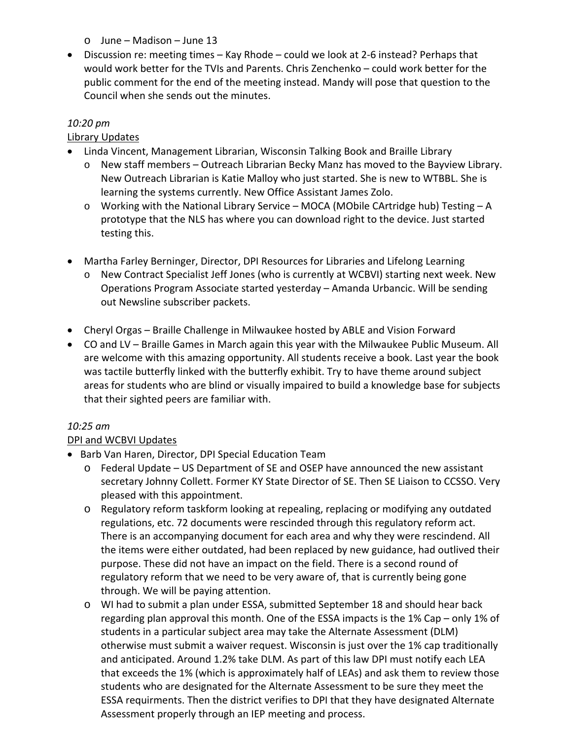- o June Madison June 13
- Discussion re: meeting times Kay Rhode could we look at 2‐6 instead? Perhaps that would work better for the TVIs and Parents. Chris Zenchenko – could work better for the public comment for the end of the meeting instead. Mandy will pose that question to the Council when she sends out the minutes.

#### *10:20 pm*

### Library Updates

- Linda Vincent, Management Librarian, Wisconsin Talking Book and Braille Library
	- $\circ$  New staff members Outreach Librarian Becky Manz has moved to the Bayview Library. New Outreach Librarian is Katie Malloy who just started. She is new to WTBBL. She is learning the systems currently. New Office Assistant James Zolo.
	- o Working with the National Library Service MOCA (MObile CArtridge hub) Testing A prototype that the NLS has where you can download right to the device. Just started testing this.
- Martha Farley Berninger, Director, DPI Resources for Libraries and Lifelong Learning
	- o New Contract Specialist Jeff Jones (who is currently at WCBVI) starting next week. New Operations Program Associate started yesterday – Amanda Urbancic. Will be sending out Newsline subscriber packets.
- Cheryl Orgas Braille Challenge in Milwaukee hosted by ABLE and Vision Forward
- CO and LV Braille Games in March again this year with the Milwaukee Public Museum. All are welcome with this amazing opportunity. All students receive a book. Last year the book was tactile butterfly linked with the butterfly exhibit. Try to have theme around subject areas for students who are blind or visually impaired to build a knowledge base for subjects that their sighted peers are familiar with.

#### *10:25 am*

#### DPI and WCBVI Updates

- Barb Van Haren, Director, DPI Special Education Team
	- o Federal Update US Department of SE and OSEP have announced the new assistant secretary Johnny Collett. Former KY State Director of SE. Then SE Liaison to CCSSO. Very pleased with this appointment.
	- o Regulatory reform taskform looking at repealing, replacing or modifying any outdated regulations, etc. 72 documents were rescinded through this regulatory reform act. There is an accompanying document for each area and why they were rescindend. All the items were either outdated, had been replaced by new guidance, had outlived their purpose. These did not have an impact on the field. There is a second round of regulatory reform that we need to be very aware of, that is currently being gone through. We will be paying attention.
	- o WI had to submit a plan under ESSA, submitted September 18 and should hear back regarding plan approval this month. One of the ESSA impacts is the 1% Cap – only 1% of students in a particular subject area may take the Alternate Assessment (DLM) otherwise must submit a waiver request. Wisconsin is just over the 1% cap traditionally and anticipated. Around 1.2% take DLM. As part of this law DPI must notify each LEA that exceeds the 1% (which is approximately half of LEAs) and ask them to review those students who are designated for the Alternate Assessment to be sure they meet the ESSA requirments. Then the district verifies to DPI that they have designated Alternate Assessment properly through an IEP meeting and process.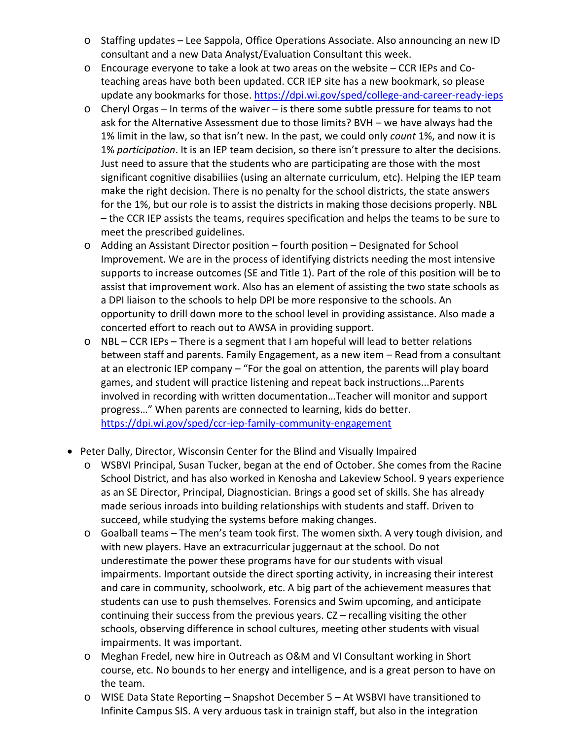- o Staffing updates Lee Sappola, Office Operations Associate. Also announcing an new ID consultant and a new Data Analyst/Evaluation Consultant this week.
- o Encourage everyone to take a look at two areas on the website CCR IEPs and Co‐ teaching areas have both been updated. CCR IEP site has a new bookmark, so please update any bookmarks for those. https://dpi.wi.gov/sped/college-and-career-ready-ieps
- o Cheryl Orgas In terms of the waiver is there some subtle pressure for teams to not ask for the Alternative Assessment due to those limits? BVH – we have always had the 1% limit in the law, so that isn't new. In the past, we could only *count* 1%, and now it is 1% *participation*. It is an IEP team decision, so there isn't pressure to alter the decisions. Just need to assure that the students who are participating are those with the most significant cognitive disabiliies (using an alternate curriculum, etc). Helping the IEP team make the right decision. There is no penalty for the school districts, the state answers for the 1%, but our role is to assist the districts in making those decisions properly. NBL – the CCR IEP assists the teams, requires specification and helps the teams to be sure to meet the prescribed guidelines.
- o Adding an Assistant Director position fourth position Designated for School Improvement. We are in the process of identifying districts needing the most intensive supports to increase outcomes (SE and Title 1). Part of the role of this position will be to assist that improvement work. Also has an element of assisting the two state schools as a DPI liaison to the schools to help DPI be more responsive to the schools. An opportunity to drill down more to the school level in providing assistance. Also made a concerted effort to reach out to AWSA in providing support.
- $\circ$  NBL CCR IEPs There is a segment that I am hopeful will lead to better relations between staff and parents. Family Engagement, as a new item – Read from a consultant at an electronic IEP company – "For the goal on attention, the parents will play board games, and student will practice listening and repeat back instructions...Parents involved in recording with written documentation…Teacher will monitor and support progress…" When parents are connected to learning, kids do better. https://dpi.wi.gov/sped/ccr-iep-family-community-engagement
- Peter Dally, Director, Wisconsin Center for the Blind and Visually Impaired
	- o WSBVI Principal, Susan Tucker, began at the end of October. She comes from the Racine School District, and has also worked in Kenosha and Lakeview School. 9 years experience as an SE Director, Principal, Diagnostician. Brings a good set of skills. She has already made serious inroads into building relationships with students and staff. Driven to succeed, while studying the systems before making changes.
	- o Goalball teams The men's team took first. The women sixth. A very tough division, and with new players. Have an extracurricular juggernaut at the school. Do not underestimate the power these programs have for our students with visual impairments. Important outside the direct sporting activity, in increasing their interest and care in community, schoolwork, etc. A big part of the achievement measures that students can use to push themselves. Forensics and Swim upcoming, and anticipate continuing their success from the previous years. CZ – recalling visiting the other schools, observing difference in school cultures, meeting other students with visual impairments. It was important.
	- o Meghan Fredel, new hire in Outreach as O&M and VI Consultant working in Short course, etc. No bounds to her energy and intelligence, and is a great person to have on the team.
	- o WISE Data State Reporting Snapshot December 5 At WSBVI have transitioned to Infinite Campus SIS. A very arduous task in trainign staff, but also in the integration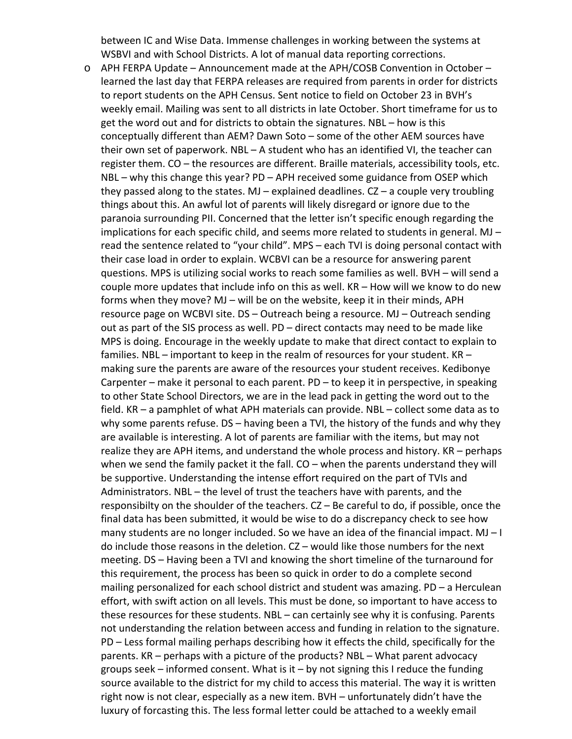between IC and Wise Data. Immense challenges in working between the systems at WSBVI and with School Districts. A lot of manual data reporting corrections.

o APH FERPA Update – Announcement made at the APH/COSB Convention in October – learned the last day that FERPA releases are required from parents in order for districts to report students on the APH Census. Sent notice to field on October 23 in BVH's weekly email. Mailing was sent to all districts in late October. Short timeframe for us to get the word out and for districts to obtain the signatures. NBL – how is this conceptually different than AEM? Dawn Soto – some of the other AEM sources have their own set of paperwork. NBL – A student who has an identified VI, the teacher can register them. CO – the resources are different. Braille materials, accessibility tools, etc. NBL – why this change this year? PD – APH received some guidance from OSEP which they passed along to the states.  $MJ -$  explained deadlines.  $CZ - a$  couple very troubling things about this. An awful lot of parents will likely disregard or ignore due to the paranoia surrounding PII. Concerned that the letter isn't specific enough regarding the implications for each specific child, and seems more related to students in general. MJ – read the sentence related to "your child". MPS – each TVI is doing personal contact with their case load in order to explain. WCBVI can be a resource for answering parent questions. MPS is utilizing social works to reach some families as well. BVH – will send a couple more updates that include info on this as well. KR – How will we know to do new forms when they move? MJ – will be on the website, keep it in their minds, APH resource page on WCBVI site. DS – Outreach being a resource. MJ – Outreach sending out as part of the SIS process as well. PD – direct contacts may need to be made like MPS is doing. Encourage in the weekly update to make that direct contact to explain to families. NBL – important to keep in the realm of resources for your student. KR – making sure the parents are aware of the resources your student receives. Kedibonye Carpenter – make it personal to each parent. PD – to keep it in perspective, in speaking to other State School Directors, we are in the lead pack in getting the word out to the field. KR – a pamphlet of what APH materials can provide. NBL – collect some data as to why some parents refuse. DS – having been a TVI, the history of the funds and why they are available is interesting. A lot of parents are familiar with the items, but may not realize they are APH items, and understand the whole process and history. KR – perhaps when we send the family packet it the fall. CO – when the parents understand they will be supportive. Understanding the intense effort required on the part of TVIs and Administrators. NBL – the level of trust the teachers have with parents, and the responsibilty on the shoulder of the teachers. CZ – Be careful to do, if possible, once the final data has been submitted, it would be wise to do a discrepancy check to see how many students are no longer included. So we have an idea of the financial impact. MJ - I do include those reasons in the deletion. CZ – would like those numbers for the next meeting. DS – Having been a TVI and knowing the short timeline of the turnaround for this requirement, the process has been so quick in order to do a complete second mailing personalized for each school district and student was amazing. PD – a Herculean effort, with swift action on all levels. This must be done, so important to have access to these resources for these students. NBL – can certainly see why it is confusing. Parents not understanding the relation between access and funding in relation to the signature. PD – Less formal mailing perhaps describing how it effects the child, specifically for the parents. KR – perhaps with a picture of the products? NBL – What parent advocacy groups seek – informed consent. What is it – by not signing this I reduce the funding source available to the district for my child to access this material. The way it is written right now is not clear, especially as a new item. BVH – unfortunately didn't have the luxury of forcasting this. The less formal letter could be attached to a weekly email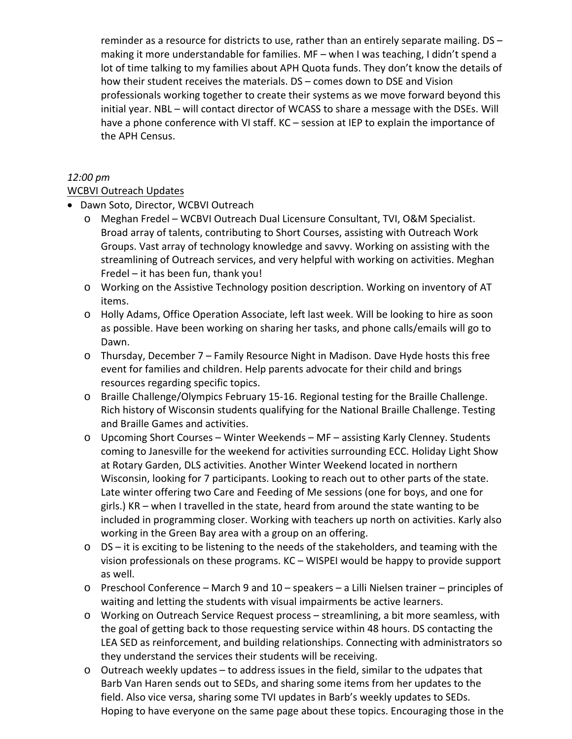reminder as a resource for districts to use, rather than an entirely separate mailing. DS – making it more understandable for families. MF – when I was teaching, I didn't spend a lot of time talking to my families about APH Quota funds. They don't know the details of how their student receives the materials. DS – comes down to DSE and Vision professionals working together to create their systems as we move forward beyond this initial year. NBL – will contact director of WCASS to share a message with the DSEs. Will have a phone conference with VI staff. KC – session at IEP to explain the importance of the APH Census.

#### *12:00 pm*

## WCBVI Outreach Updates

- Dawn Soto, Director, WCBVI Outreach
	- o Meghan Fredel WCBVI Outreach Dual Licensure Consultant, TVI, O&M Specialist. Broad array of talents, contributing to Short Courses, assisting with Outreach Work Groups. Vast array of technology knowledge and savvy. Working on assisting with the streamlining of Outreach services, and very helpful with working on activities. Meghan Fredel – it has been fun, thank you!
	- o Working on the Assistive Technology position description. Working on inventory of AT items.
	- o Holly Adams, Office Operation Associate, left last week. Will be looking to hire as soon as possible. Have been working on sharing her tasks, and phone calls/emails will go to Dawn.
	- o Thursday, December 7 Family Resource Night in Madison. Dave Hyde hosts this free event for families and children. Help parents advocate for their child and brings resources regarding specific topics.
	- o Braille Challenge/Olympics February 15‐16. Regional testing for the Braille Challenge. Rich history of Wisconsin students qualifying for the National Braille Challenge. Testing and Braille Games and activities.
	- o Upcoming Short Courses Winter Weekends MF assisting Karly Clenney. Students coming to Janesville for the weekend for activities surrounding ECC. Holiday Light Show at Rotary Garden, DLS activities. Another Winter Weekend located in northern Wisconsin, looking for 7 participants. Looking to reach out to other parts of the state. Late winter offering two Care and Feeding of Me sessions (one for boys, and one for girls.) KR – when I travelled in the state, heard from around the state wanting to be included in programming closer. Working with teachers up north on activities. Karly also working in the Green Bay area with a group on an offering.
	- o DS it is exciting to be listening to the needs of the stakeholders, and teaming with the vision professionals on these programs. KC – WISPEI would be happy to provide support as well.
	- o Preschool Conference March 9 and 10 speakers a Lilli Nielsen trainer principles of waiting and letting the students with visual impairments be active learners.
	- o Working on Outreach Service Request process streamlining, a bit more seamless, with the goal of getting back to those requesting service within 48 hours. DS contacting the LEA SED as reinforcement, and building relationships. Connecting with administrators so they understand the services their students will be receiving.
	- o Outreach weekly updates to address issues in the field, similar to the udpates that Barb Van Haren sends out to SEDs, and sharing some items from her updates to the field. Also vice versa, sharing some TVI updates in Barb's weekly updates to SEDs. Hoping to have everyone on the same page about these topics. Encouraging those in the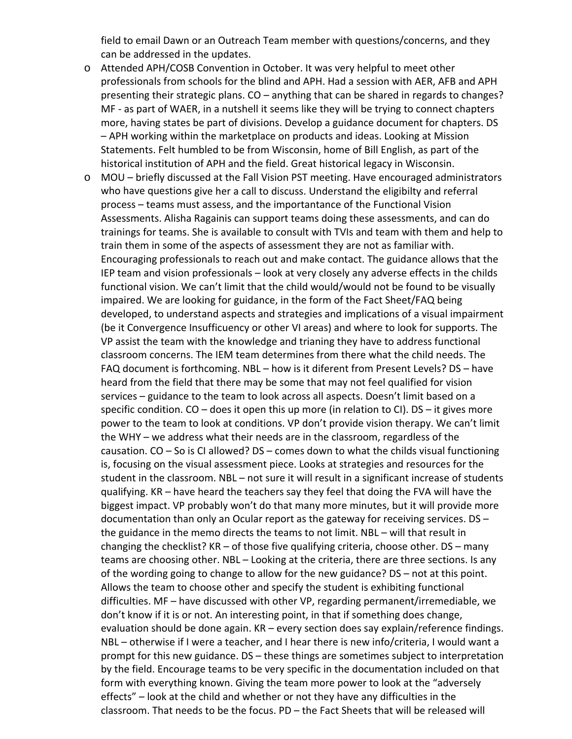field to email Dawn or an Outreach Team member with questions/concerns, and they can be addressed in the updates.

- o Attended APH/COSB Convention in October. It was very helpful to meet other professionals from schools for the blind and APH. Had a session with AER, AFB and APH presenting their strategic plans. CO – anything that can be shared in regards to changes? MF - as part of WAER, in a nutshell it seems like they will be trying to connect chapters more, having states be part of divisions. Develop a guidance document for chapters. DS – APH working within the marketplace on products and ideas. Looking at Mission Statements. Felt humbled to be from Wisconsin, home of Bill English, as part of the historical institution of APH and the field. Great historical legacy in Wisconsin.
- o MOU briefly discussed at the Fall Vision PST meeting. Have encouraged administrators who have questions give her a call to discuss. Understand the eligibilty and referral process – teams must assess, and the importantance of the Functional Vision Assessments. Alisha Ragainis can support teams doing these assessments, and can do trainings for teams. She is available to consult with TVIs and team with them and help to train them in some of the aspects of assessment they are not as familiar with. Encouraging professionals to reach out and make contact. The guidance allows that the IEP team and vision professionals – look at very closely any adverse effects in the childs functional vision. We can't limit that the child would/would not be found to be visually impaired. We are looking for guidance, in the form of the Fact Sheet/FAQ being developed, to understand aspects and strategies and implications of a visual impairment (be it Convergence Insufficuency or other VI areas) and where to look for supports. The VP assist the team with the knowledge and trianing they have to address functional classroom concerns. The IEM team determines from there what the child needs. The FAQ document is forthcoming. NBL – how is it diferent from Present Levels? DS – have heard from the field that there may be some that may not feel qualified for vision services – guidance to the team to look across all aspects. Doesn't limit based on a specific condition. CO – does it open this up more (in relation to CI). DS – it gives more power to the team to look at conditions. VP don't provide vision therapy. We can't limit the WHY – we address what their needs are in the classroom, regardless of the causation.  $CO -$  So is CI allowed?  $DS -$  comes down to what the childs visual functioning is, focusing on the visual assessment piece. Looks at strategies and resources for the student in the classroom. NBL – not sure it will result in a significant increase of students qualifying. KR – have heard the teachers say they feel that doing the FVA will have the biggest impact. VP probably won't do that many more minutes, but it will provide more documentation than only an Ocular report as the gateway for receiving services. DS – the guidance in the memo directs the teams to not limit. NBL – will that result in changing the checklist?  $KR - of$  those five qualifying criteria, choose other.  $DS -$  many teams are choosing other. NBL – Looking at the criteria, there are three sections. Is any of the wording going to change to allow for the new guidance? DS – not at this point. Allows the team to choose other and specify the student is exhibiting functional difficulties. MF – have discussed with other VP, regarding permanent/irremediable, we don't know if it is or not. An interesting point, in that if something does change, evaluation should be done again. KR – every section does say explain/reference findings. NBL – otherwise if I were a teacher, and I hear there is new info/criteria, I would want a prompt for this new guidance. DS – these things are sometimes subject to interpretation by the field. Encourage teams to be very specific in the documentation included on that form with everything known. Giving the team more power to look at the "adversely effects" – look at the child and whether or not they have any difficulties in the classroom. That needs to be the focus. PD – the Fact Sheets that will be released will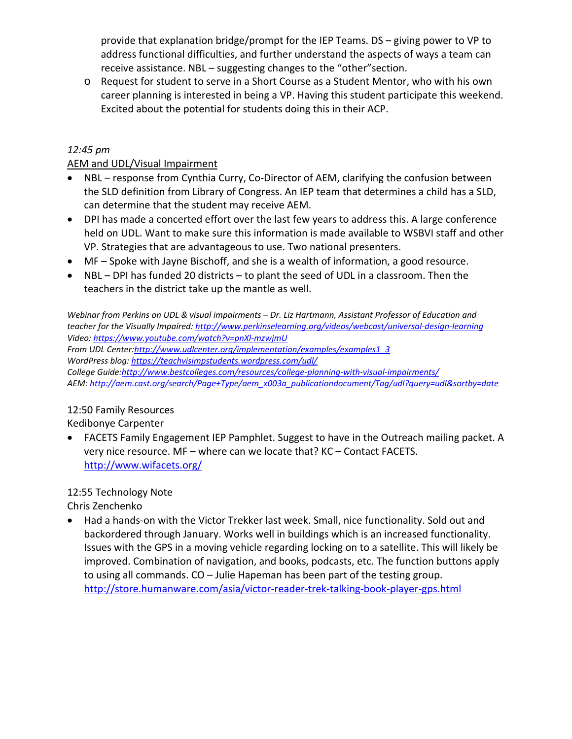provide that explanation bridge/prompt for the IEP Teams. DS – giving power to VP to address functional difficulties, and further understand the aspects of ways a team can receive assistance. NBL – suggesting changes to the "other"section.

o Request for student to serve in a Short Course as a Student Mentor, who with his own career planning is interested in being a VP. Having this student participate this weekend. Excited about the potential for students doing this in their ACP.

## *12:45 pm*

#### AEM and UDL/Visual Impairment

- NBL response from Cynthia Curry, Co-Director of AEM, clarifying the confusion between the SLD definition from Library of Congress. An IEP team that determines a child has a SLD, can determine that the student may receive AEM.
- DPI has made a concerted effort over the last few years to address this. A large conference held on UDL. Want to make sure this information is made available to WSBVI staff and other VP. Strategies that are advantageous to use. Two national presenters.
- MF Spoke with Jayne Bischoff, and she is a wealth of information, a good resource.
- NBL DPI has funded 20 districts to plant the seed of UDL in a classroom. Then the teachers in the district take up the mantle as well.

*Webinar from Perkins on UDL & visual impairments – Dr. Liz Hartmann, Assistant Professor of Education and teacher for the Visually Impaired: http://www.perkinselearning.org/videos/webcast/universal‐design‐learning Video: https://www.youtube.com/watch?v=pnXl‐mzwjmU From UDL Center:http://www.udlcenter.org/implementation/examples/examples1\_3 WordPress blog: https://teachvisimpstudents.wordpress.com/udl/ College Guide:http://www.bestcolleges.com/resources/college‐planning‐with‐visual‐impairments/ AEM: http://aem.cast.org/search/Page+Type/aem\_x003a\_publicationdocument/Tag/udl?query=udl&sortby=date*

## 12:50 Family Resources

Kedibonye Carpenter

 FACETS Family Engagement IEP Pamphlet. Suggest to have in the Outreach mailing packet. A very nice resource. MF – where can we locate that? KC – Contact FACETS. http://www.wifacets.org/

## 12:55 Technology Note

Chris Zenchenko

 Had a hands‐on with the Victor Trekker last week. Small, nice functionality. Sold out and backordered through January. Works well in buildings which is an increased functionality. Issues with the GPS in a moving vehicle regarding locking on to a satellite. This will likely be improved. Combination of navigation, and books, podcasts, etc. The function buttons apply to using all commands. CO – Julie Hapeman has been part of the testing group. http://store.humanware.com/asia/victor‐reader‐trek‐talking‐book‐player‐gps.html